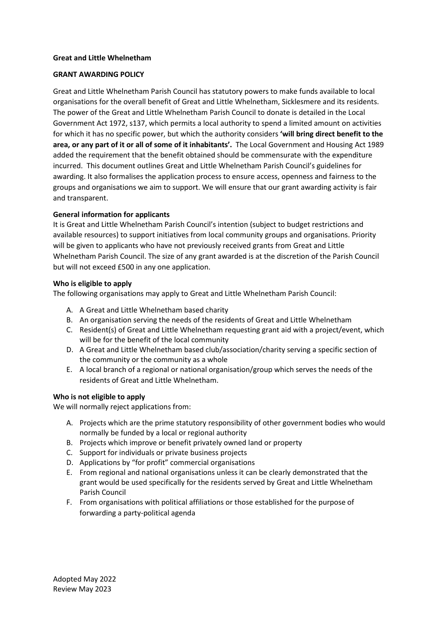# **Great and Little Whelnetham**

# **GRANT AWARDING POLICY**

Great and Little Whelnetham Parish Council has statutory powers to make funds available to local organisations for the overall benefit of Great and Little Whelnetham, Sicklesmere and its residents. The power of the Great and Little Whelnetham Parish Council to donate is detailed in the Local Government Act 1972, s137, which permits a local authority to spend a limited amount on activities for which it has no specific power, but which the authority considers **'will bring direct benefit to the area, or any part of it or all of some of it inhabitants'.** The Local Government and Housing Act 1989 added the requirement that the benefit obtained should be commensurate with the expenditure incurred. This document outlines Great and Little Whelnetham Parish Council's guidelines for awarding. It also formalises the application process to ensure access, openness and fairness to the groups and organisations we aim to support. We will ensure that our grant awarding activity is fair and transparent.

# **General information for applicants**

It is Great and Little Whelnetham Parish Council's intention (subject to budget restrictions and available resources) to support initiatives from local community groups and organisations. Priority will be given to applicants who have not previously received grants from Great and Little Whelnetham Parish Council. The size of any grant awarded is at the discretion of the Parish Council but will not exceed £500 in any one application.

# **Who is eligible to apply**

The following organisations may apply to Great and Little Whelnetham Parish Council:

- A. A Great and Little Whelnetham based charity
- B. An organisation serving the needs of the residents of Great and Little Whelnetham
- C. Resident(s) of Great and Little Whelnetham requesting grant aid with a project/event, which will be for the benefit of the local community
- D. A Great and Little Whelnetham based club/association/charity serving a specific section of the community or the community as a whole
- E. A local branch of a regional or national organisation/group which serves the needs of the residents of Great and Little Whelnetham.

## **Who is not eligible to apply**

We will normally reject applications from:

- A. Projects which are the prime statutory responsibility of other government bodies who would normally be funded by a local or regional authority
- B. Projects which improve or benefit privately owned land or property
- C. Support for individuals or private business projects
- D. Applications by "for profit" commercial organisations
- E. From regional and national organisations unless it can be clearly demonstrated that the grant would be used specifically for the residents served by Great and Little Whelnetham Parish Council
- F. From organisations with political affiliations or those established for the purpose of forwarding a party-political agenda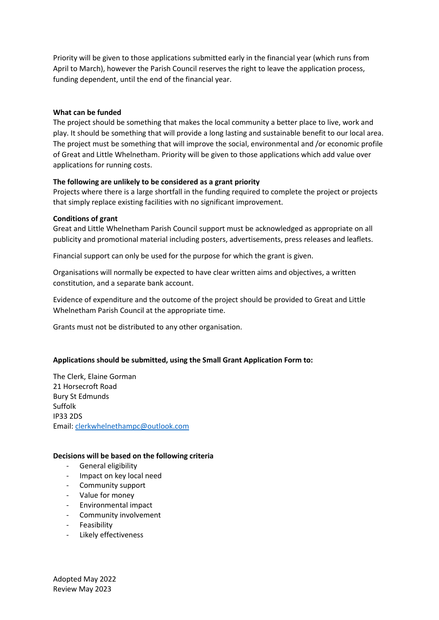Priority will be given to those applications submitted early in the financial year (which runs from April to March), however the Parish Council reserves the right to leave the application process, funding dependent, until the end of the financial year.

## **What can be funded**

The project should be something that makes the local community a better place to live, work and play. It should be something that will provide a long lasting and sustainable benefit to our local area. The project must be something that will improve the social, environmental and /or economic profile of Great and Little Whelnetham. Priority will be given to those applications which add value over applications for running costs.

# **The following are unlikely to be considered as a grant priority**

Projects where there is a large shortfall in the funding required to complete the project or projects that simply replace existing facilities with no significant improvement.

## **Conditions of grant**

Great and Little Whelnetham Parish Council support must be acknowledged as appropriate on all publicity and promotional material including posters, advertisements, press releases and leaflets.

Financial support can only be used for the purpose for which the grant is given.

Organisations will normally be expected to have clear written aims and objectives, a written constitution, and a separate bank account.

Evidence of expenditure and the outcome of the project should be provided to Great and Little Whelnetham Parish Council at the appropriate time.

Grants must not be distributed to any other organisation.

# **Applications should be submitted, using the Small Grant Application Form to:**

The Clerk, Elaine Gorman 21 Horsecroft Road Bury St Edmunds Suffolk IP33 2DS Email: [clerkwhelnethampc@outlook.com](mailto:clerkwhelnethampc@outlook.com)

## **Decisions will be based on the following criteria**

- General eligibility
- Impact on key local need
- Community support
- Value for money
- Environmental impact
- Community involvement
- **Feasibility**
- Likely effectiveness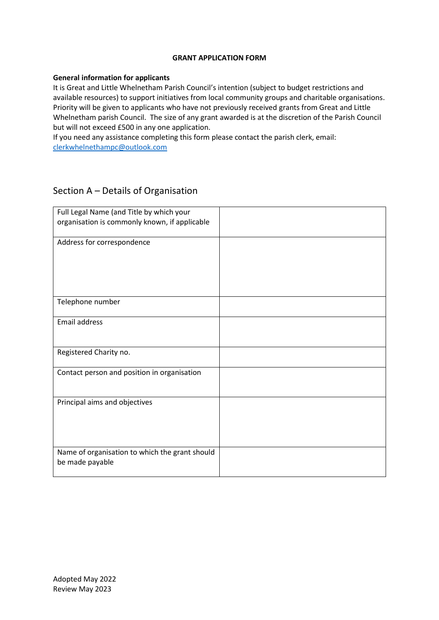# **GRANT APPLICATION FORM**

# **General information for applicants**

It is Great and Little Whelnetham Parish Council's intention (subject to budget restrictions and available resources) to support initiatives from local community groups and charitable organisations. Priority will be given to applicants who have not previously received grants from Great and Little Whelnetham parish Council. The size of any grant awarded is at the discretion of the Parish Council but will not exceed £500 in any one application.

If you need any assistance completing this form please contact the parish clerk, email: [clerkwhelnethampc@outlook.com](mailto:clerkwhelnethampc@outlook.com)

# Section A – Details of Organisation

| Full Legal Name (and Title by which your<br>organisation is commonly known, if applicable |  |
|-------------------------------------------------------------------------------------------|--|
| Address for correspondence                                                                |  |
|                                                                                           |  |
| Telephone number                                                                          |  |
| <b>Email address</b>                                                                      |  |
| Registered Charity no.                                                                    |  |
| Contact person and position in organisation                                               |  |
| Principal aims and objectives                                                             |  |
| Name of organisation to which the grant should<br>be made payable                         |  |